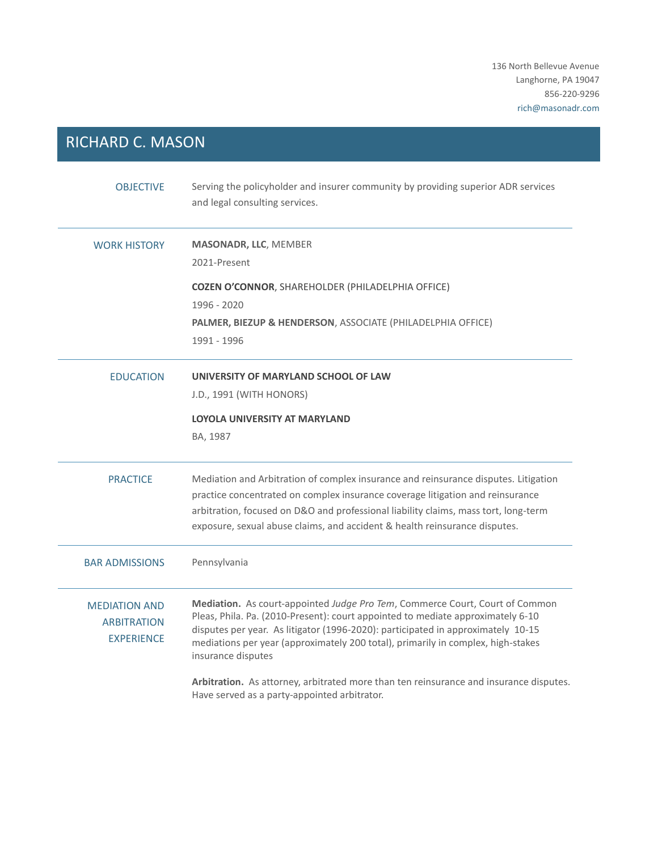136 North Bellevue Avenue Langhorne, PA 19047 856-220-9296 rich@masonadr.com

## RICHARD C. MASON

| <b>OBJECTIVE</b>                                                | Serving the policyholder and insurer community by providing superior ADR services<br>and legal consulting services.                                                                                                                                                                                                                                           |
|-----------------------------------------------------------------|---------------------------------------------------------------------------------------------------------------------------------------------------------------------------------------------------------------------------------------------------------------------------------------------------------------------------------------------------------------|
| <b>WORK HISTORY</b>                                             | <b>MASONADR, LLC, MEMBER</b><br>2021-Present                                                                                                                                                                                                                                                                                                                  |
|                                                                 | <b>COZEN O'CONNOR, SHAREHOLDER (PHILADELPHIA OFFICE)</b>                                                                                                                                                                                                                                                                                                      |
|                                                                 | 1996 - 2020                                                                                                                                                                                                                                                                                                                                                   |
|                                                                 | PALMER, BIEZUP & HENDERSON, ASSOCIATE (PHILADELPHIA OFFICE)                                                                                                                                                                                                                                                                                                   |
|                                                                 | 1991 - 1996                                                                                                                                                                                                                                                                                                                                                   |
| <b>EDUCATION</b>                                                | UNIVERSITY OF MARYLAND SCHOOL OF LAW                                                                                                                                                                                                                                                                                                                          |
|                                                                 | J.D., 1991 (WITH HONORS)                                                                                                                                                                                                                                                                                                                                      |
|                                                                 | <b>LOYOLA UNIVERSITY AT MARYLAND</b>                                                                                                                                                                                                                                                                                                                          |
|                                                                 | BA, 1987                                                                                                                                                                                                                                                                                                                                                      |
| <b>PRACTICE</b>                                                 | Mediation and Arbitration of complex insurance and reinsurance disputes. Litigation<br>practice concentrated on complex insurance coverage litigation and reinsurance<br>arbitration, focused on D&O and professional liability claims, mass tort, long-term<br>exposure, sexual abuse claims, and accident & health reinsurance disputes.                    |
| <b>BAR ADMISSIONS</b>                                           | Pennsylvania                                                                                                                                                                                                                                                                                                                                                  |
| <b>MEDIATION AND</b><br><b>ARBITRATION</b><br><b>EXPERIENCE</b> | Mediation. As court-appointed Judge Pro Tem, Commerce Court, Court of Common<br>Pleas, Phila. Pa. (2010-Present): court appointed to mediate approximately 6-10<br>disputes per year. As litigator (1996-2020): participated in approximately 10-15<br>mediations per year (approximately 200 total), primarily in complex, high-stakes<br>insurance disputes |
|                                                                 | Arbitration. As attorney, arbitrated more than ten reinsurance and insurance disputes.<br>Have served as a party-appointed arbitrator.                                                                                                                                                                                                                        |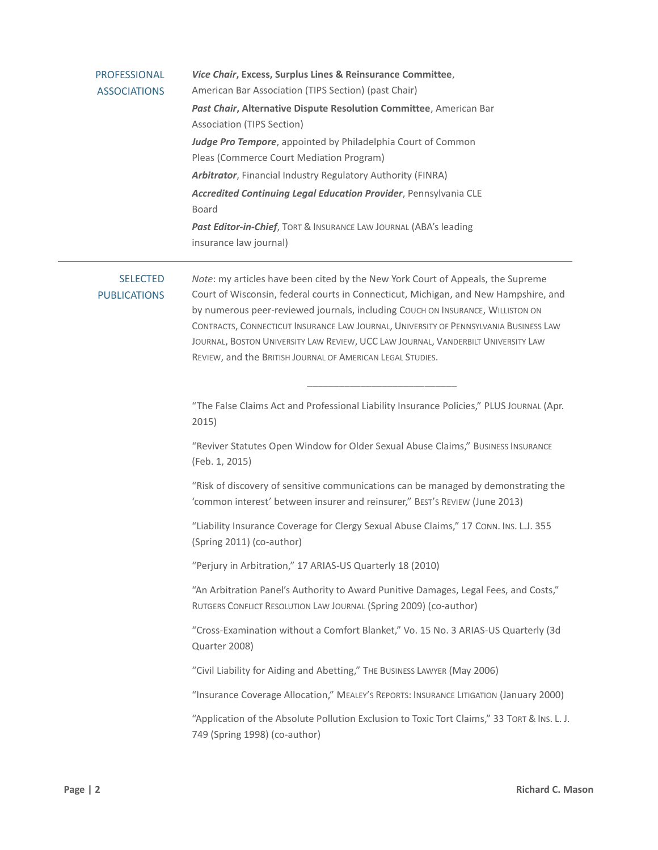| <b>PROFESSIONAL</b><br><b>ASSOCIATIONS</b> | Vice Chair, Excess, Surplus Lines & Reinsurance Committee,<br>American Bar Association (TIPS Section) (past Chair)<br>Past Chair, Alternative Dispute Resolution Committee, American Bar<br>Association (TIPS Section)<br>Judge Pro Tempore, appointed by Philadelphia Court of Common<br>Pleas (Commerce Court Mediation Program)<br>Arbitrator, Financial Industry Regulatory Authority (FINRA)<br>Accredited Continuing Legal Education Provider, Pennsylvania CLE<br>Board<br>Past Editor-in-Chief, TORT & INSURANCE LAW JOURNAL (ABA's leading<br>insurance law journal) |
|--------------------------------------------|-------------------------------------------------------------------------------------------------------------------------------------------------------------------------------------------------------------------------------------------------------------------------------------------------------------------------------------------------------------------------------------------------------------------------------------------------------------------------------------------------------------------------------------------------------------------------------|
| <b>SELECTED</b><br><b>PUBLICATIONS</b>     | Note: my articles have been cited by the New York Court of Appeals, the Supreme<br>Court of Wisconsin, federal courts in Connecticut, Michigan, and New Hampshire, and<br>by numerous peer-reviewed journals, including COUCH ON INSURANCE, WILLISTON ON<br>CONTRACTS, CONNECTICUT INSURANCE LAW JOURNAL, UNIVERSITY OF PENNSYLVANIA BUSINESS LAW<br>JOURNAL, BOSTON UNIVERSITY LAW REVIEW, UCC LAW JOURNAL, VANDERBILT UNIVERSITY LAW<br>REVIEW, and the BRITISH JOURNAL OF AMERICAN LEGAL STUDIES.                                                                          |
|                                            | "The False Claims Act and Professional Liability Insurance Policies," PLUS JOURNAL (Apr.<br>2015)                                                                                                                                                                                                                                                                                                                                                                                                                                                                             |
|                                            | "Reviver Statutes Open Window for Older Sexual Abuse Claims," BUSINESS INSURANCE<br>(Feb. 1, 2015)                                                                                                                                                                                                                                                                                                                                                                                                                                                                            |
|                                            | "Risk of discovery of sensitive communications can be managed by demonstrating the<br>'common interest' between insurer and reinsurer," BEST'S REVIEW (June 2013)                                                                                                                                                                                                                                                                                                                                                                                                             |
|                                            | "Liability Insurance Coverage for Clergy Sexual Abuse Claims," 17 CONN. INS. L.J. 355<br>(Spring 2011) (co-author)                                                                                                                                                                                                                                                                                                                                                                                                                                                            |
|                                            | "Perjury in Arbitration," 17 ARIAS-US Quarterly 18 (2010)                                                                                                                                                                                                                                                                                                                                                                                                                                                                                                                     |
|                                            | "An Arbitration Panel's Authority to Award Punitive Damages, Legal Fees, and Costs,"<br>RUTGERS CONFLICT RESOLUTION LAW JOURNAL (Spring 2009) (co-author)                                                                                                                                                                                                                                                                                                                                                                                                                     |
|                                            | "Cross-Examination without a Comfort Blanket," Vo. 15 No. 3 ARIAS-US Quarterly (3d<br>Quarter 2008)                                                                                                                                                                                                                                                                                                                                                                                                                                                                           |
|                                            | "Civil Liability for Aiding and Abetting," THE BUSINESS LAWYER (May 2006)                                                                                                                                                                                                                                                                                                                                                                                                                                                                                                     |
|                                            | "Insurance Coverage Allocation," MEALEY'S REPORTS: INSURANCE LITIGATION (January 2000)                                                                                                                                                                                                                                                                                                                                                                                                                                                                                        |
|                                            | "Application of the Absolute Pollution Exclusion to Toxic Tort Claims," 33 TORT & INS. L. J.<br>749 (Spring 1998) (co-author)                                                                                                                                                                                                                                                                                                                                                                                                                                                 |

L,